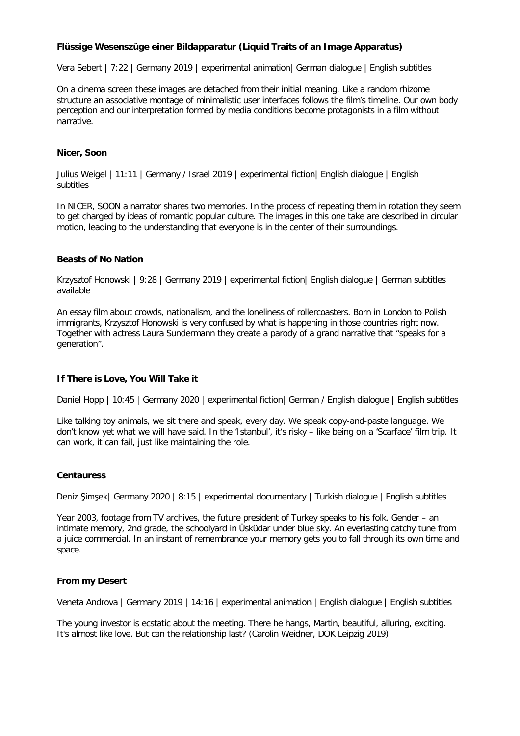# **Flüssige Wesenszüge einer Bildapparatur (Liquid Traits of an Image Apparatus)**

Vera Sebert | 7:22 | Germany 2019 | experimental animation| German dialogue | English subtitles

On a cinema screen these images are detached from their initial meaning. Like a random rhizome structure an associative montage of minimalistic user interfaces follows the film's timeline. Our own body perception and our interpretation formed by media conditions become protagonists in a film without narrative.

### **Nicer, Soon**

Julius Weigel | 11:11 | Germany / Israel 2019 | experimental fiction| English dialogue | English subtitles

In NICER, SOON a narrator shares two memories. In the process of repeating them in rotation they seem to get charged by ideas of romantic popular culture. The images in this one take are described in circular motion, leading to the understanding that everyone is in the center of their surroundings.

### **Beasts of No Nation**

Krzysztof Honowski | 9:28 | Germany 2019 | experimental fiction| English dialogue | German subtitles available

An essay film about crowds, nationalism, and the loneliness of rollercoasters. Born in London to Polish immigrants, Krzysztof Honowski is very confused by what is happening in those countries right now. Together with actress Laura Sundermann they create a parody of a grand narrative that "speaks for a generation".

## **If There is Love, You Will Take it**

Daniel Hopp | 10:45 | Germany 2020 | experimental fiction | German / English dialogue | English subtitles

Like talking toy animals, we sit there and speak, every day. We speak copy-and-paste language. We don't know yet what we will have said. In the 'Istanbul', it's risky – like being on a 'Scarface' film trip. It can work, it can fail, just like maintaining the role.

#### **[Centauress](https://katalog.ag-kurzfilm.de/filmdetail/detail/10004405/3117/148155975)**

Deniz Şimşek| Germany 2020 | 8:15 | experimental documentary | Turkish dialogue | English subtitles

Year 2003, footage from TV archives, the future president of Turkey speaks to his folk. Gender – an intimate memory, 2nd grade, the schoolyard in Üsküdar under blue sky. An everlasting catchy tune from a juice commercial. In an instant of remembrance your memory gets you to fall through its own time and space.

#### **From my Desert**

Veneta Androva | Germany 2019 | 14:16 | experimental animation | English dialogue | English subtitles

The young investor is ecstatic about the meeting. There he hangs, Martin, beautiful, alluring, exciting. It's almost like love. But can the relationship last? (Carolin Weidner, DOK Leipzig 2019)